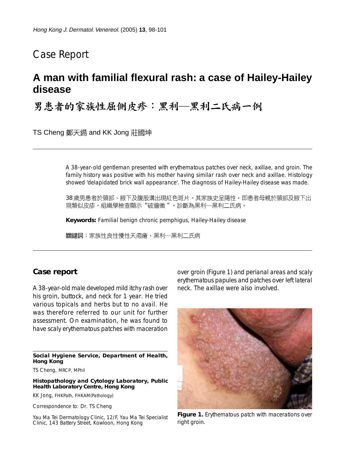## Case Report

# **A man with familial flexural rash: a case of Hailey-Hailey disease**

男患者的家族性屈侧皮疹:黑利––黑利二氏病一例

TS Cheng 鄭天錫 and KK Jong 莊國坤

A 38-year-old gentleman presented with erythematous patches over neck, axillae, and groin. The family history was positive with his mother having similar rash over neck and axillae. Histology showed 'delapidated brick wall appearance'. The diagnosis of Hailey-Hailey disease was made.

38 歲男患者於頸部、腋下及腹股溝出現紅色斑片。其家族史呈陽性,即患者母親於頸部及腋下出 現類似皮疹。組織學檢查顯示"破牆徵 "。診斷為黑利—黑利二氏病。

**Keywords:** Familial benign chronic pemphigus, Hailey-Hailey disease

關鍵詞:家族性良性慢性天疱瘡,黑利—黑利二氏病

#### **Case report**

A 38-year-old male developed mild itchy rash over his groin, buttock, and neck for 1 year. He tried various topicals and herbs but to no avail. He was therefore referred to our unit for further assessment. On examination, he was found to have scaly erythematous patches with maceration

**Social Hygiene Service, Department of Health, Hong Kong**

TS Cheng, MRCP, MPhil

**Histopathology and Cytology Laboratory, Public Health Laboratory Centre, Hong Kong**

KK Jong, FHKPath, FHKAM(Pathology)

Correspondence to: Dr. TS Cheng

Yau Ma Tei Dermatology Clinic, 12/F, Yau Ma Tei Specialist Clinic, 143 Battery Street, Kowloon, Hong Kong

over groin (Figure 1) and perianal areas and scaly erythematous papules and patches over left lateral neck. The axillae were also involved.



**Figure 1.** Erythematous patch with macerations over right groin.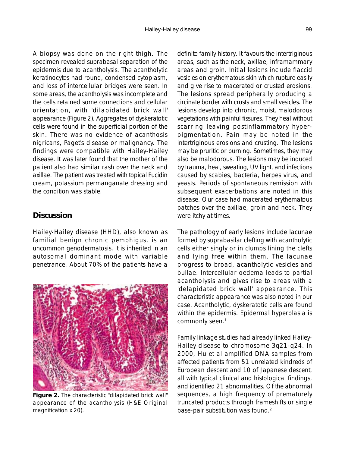A biopsy was done on the right thigh. The specimen revealed suprabasal separation of the epidermis due to acantholysis. The acantholytic keratinocytes had round, condensed cytoplasm, and loss of intercellular bridges were seen. In some areas, the acantholysis was incomplete and the cells retained some connections and cellular orientation, with 'dilapidated brick wall' appearance (Figure 2). Aggregates of dyskeratotic cells were found in the superficial portion of the skin. There was no evidence of acanthosis nigricans, Paget's disease or malignancy. The findings were compatible with Hailey-Hailey disease. It was later found that the mother of the patient also had similar rash over the neck and axillae. The patient was treated with topical Fucidin cream, potassium permanganate dressing and the condition was stable.

#### **Discussion**

Hailey-Hailey disease (HHD), also known as familial benign chronic pemphigus, is an uncommon genodermatosis. It is inherited in an autosomal dominant mode with variable penetrance. About 70% of the patients have a



**Figure 2.** The characteristic "dilapidated brick wall" appearance of the acantholysis (H&E Original magnification x 20).

definite family history. It favours the intertriginous areas, such as the neck, axillae, inframammary areas and groin. Initial lesions include flaccid vesicles on erythematous skin which rupture easily and give rise to macerated or crusted erosions. The lesions spread peripherally producing a circinate border with crusts and small vesicles. The lesions develop into chronic, moist, malodorous vegetations with painful fissures. They heal without scarring leaving postinflammatory hyperpigmentation. Pain may be noted in the intertriginous erosions and crusting. The lesions may be pruritic or burning. Sometimes, they may also be malodorous. The lesions may be induced by trauma, heat, sweating, UV light, and infections caused by scabies, bacteria, herpes virus, and yeasts. Periods of spontaneous remission with subsequent exacerbations are noted in this disease. Our case had macerated erythematous patches over the axillae, groin and neck. They were itchy at times.

The pathology of early lesions include lacunae formed by suprabasilar clefting with acantholytic cells either singly or in clumps lining the clefts and lying free within them. The lacunae progress to broad, acantholytic vesicles and bullae. Intercellular oedema leads to partial acantholysis and gives rise to areas with a 'delapidated brick wall' appearance. This characteristic appearance was also noted in our case. Acantholytic, dyskeratotic cells are found within the epidermis. Epidermal hyperplasia is commonly seen.<sup>1</sup>

Family linkage studies had already linked Hailey-Hailey disease to chromosome 3q21-q24. In 2000, Hu et al amplified DNA samples from affected patients from 51 unrelated kindreds of European descent and 10 of Japanese descent, all with typical clinical and histological findings, and identified 21 abnormalities. Of the abnormal sequences, a high frequency of prematurely truncated products through frameshifts or single base-pair substitution was found.<sup>2</sup>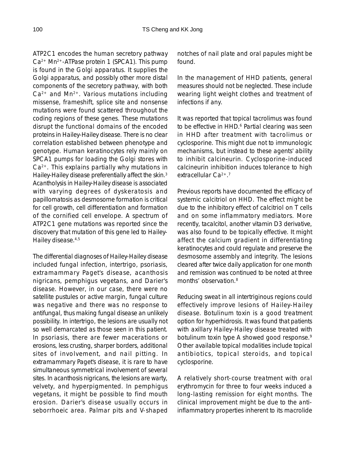ATP2C1 encodes the human secretory pathway Ca2+ Mn2+-ATPase protein 1 (SPCA1). This pump is found in the Golgi apparatus. It supplies the Golgi apparatus, and possibly other more distal components of the secretory pathway, with both  $Ca<sup>2+</sup>$  and Mn<sup>2+</sup>. Various mutations including missense, frameshift, splice site and nonsense mutations were found scattered throughout the coding regions of these genes. These mutations disrupt the functional domains of the encoded proteins in Hailey-Hailey disease. There is no clear correlation established between phenotype and genotype. Human keratinocytes rely mainly on SPCA1 pumps for loading the Golgi stores with Ca2+. This explains partially why mutations in Hailey-Hailey disease preferentially affect the skin.<sup>3</sup> Acantholysis in Hailey-Hailey disease is associated with varying degrees of dyskeratosis and papillomatosis as desmosome formation is critical for cell growth, cell differentiation and formation of the cornified cell envelope. A spectrum of ATP2C1 gene mutations was reported since the discovery that mutation of this gene led to Hailey-Hailey disease.4,5

The differential diagnoses of Hailey-Hailey disease included fungal infection, intertrigo, psoriasis, extramammary Paget's disease, acanthosis nigricans, pemphigus vegetans, and Darier's disease. However, in our case, there were no satellite pustules or active margin, fungal culture was negative and there was no response to antifungal, thus making fungal disease an unlikely possibility. In intertrigo, the lesions are usually not so well demarcated as those seen in this patient. In psoriasis, there are fewer macerations or erosions, less crusting, sharper borders, additional sites of involvement, and nail pitting. In extramammary Paget's disease, it is rare to have simultaneous symmetrical involvement of several sites. In acanthosis nigricans, the lesions are warty, velvety, and hyperpigmented. In pemphigus vegetans, it might be possible to find mouth erosion. Darier's disease usually occurs in seborrhoeic area. Palmar pits and V-shaped

notches of nail plate and oral papules might be found.

In the management of HHD patients, general measures should not be neglected. These include wearing light weight clothes and treatment of infections if any.

It was reported that topical tacrolimus was found to be effective in HHD.<sup>6</sup> Partial clearing was seen in HHD after treatment with tacrolimus or cyclosporine. This might due not to immunologic mechanisms, but instead to these agents' ability to inhibit calcineurin. Cyclosporine-induced calcineurin inhibition induces tolerance to high extracellular Ca<sup>2+17</sup>

Previous reports have documented the efficacy of systemic calcitriol on HHD. The effect might be due to the inhibitory effect of calcitriol on T cells and on some inflammatory mediators. More recently, tacalcitol, another vitamin D3 derivative, was also found to be topically effective. It might affect the calcium gradient in differentiating keratinocytes and could regulate and preserve the desmosome assembly and integrity. The lesions cleared after twice daily application for one month and remission was continued to be noted at three months' observation.<sup>8</sup>

Reducing sweat in all intertriginous regions could effectively improve lesions of Hailey-Hailey disease. Botulinum toxin is a good treatment option for hyperhidrosis. It was found that patients with axillary Hailey-Hailey disease treated with botulinum toxin type A showed good response.<sup>9</sup> Other available topical modalities include topical antibiotics, topical steroids, and topical cyclosporine.

A relatively short-course treatment with oral erythromycin for three to four weeks induced a long-lasting remission for eight months. The clinical improvement might be due to the antiinflammatory properties inherent to its macrolide